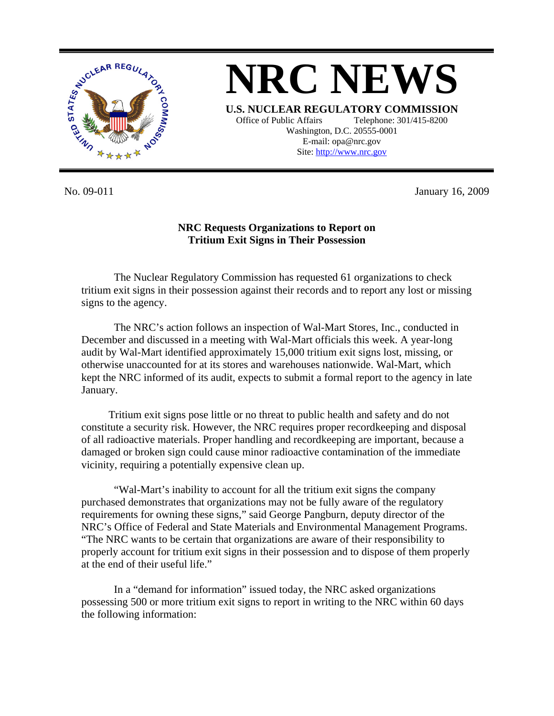

**NRC NEWS U.S. NUCLEAR REGULATORY COMMISSION** Office of Public Affairs Telephone: 301/415-8200 Washington, D.C. 20555-0001 E-mail: opa@nrc.gov Site: http://www.nrc.gov

No. 09-011 January 16, 2009

## **NRC Requests Organizations to Report on Tritium Exit Signs in Their Possession**

The Nuclear Regulatory Commission has requested 61 organizations to check tritium exit signs in their possession against their records and to report any lost or missing signs to the agency.

 The NRC's action follows an inspection of Wal-Mart Stores, Inc., conducted in December and discussed in a meeting with Wal-Mart officials this week. A year-long audit by Wal-Mart identified approximately 15,000 tritium exit signs lost, missing, or otherwise unaccounted for at its stores and warehouses nationwide. Wal-Mart, which kept the NRC informed of its audit, expects to submit a formal report to the agency in late January.

Tritium exit signs pose little or no threat to public health and safety and do not constitute a security risk. However, the NRC requires proper recordkeeping and disposal of all radioactive materials. Proper handling and recordkeeping are important, because a damaged or broken sign could cause minor radioactive contamination of the immediate vicinity, requiring a potentially expensive clean up.

 "Wal-Mart's inability to account for all the tritium exit signs the company purchased demonstrates that organizations may not be fully aware of the regulatory requirements for owning these signs," said George Pangburn, deputy director of the NRC's Office of Federal and State Materials and Environmental Management Programs. "The NRC wants to be certain that organizations are aware of their responsibility to properly account for tritium exit signs in their possession and to dispose of them properly at the end of their useful life."

 In a "demand for information" issued today, the NRC asked organizations possessing 500 or more tritium exit signs to report in writing to the NRC within 60 days the following information: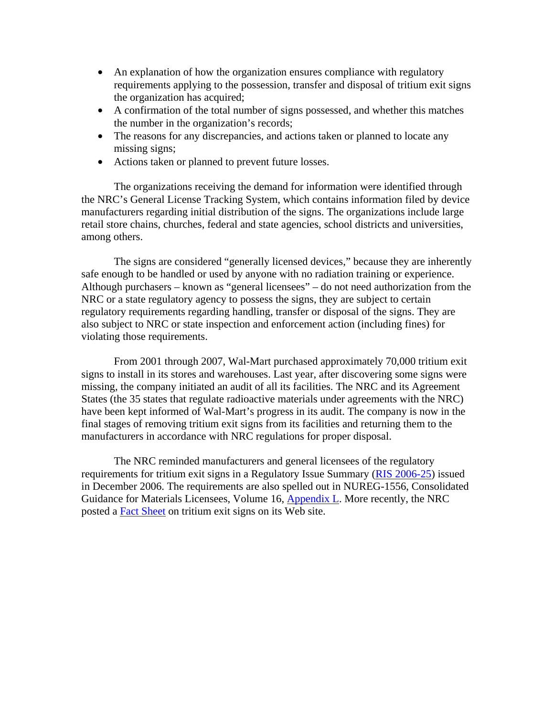- An explanation of how the organization ensures compliance with regulatory requirements applying to the possession, transfer and disposal of tritium exit signs the organization has acquired;
- A confirmation of the total number of signs possessed, and whether this matches the number in the organization's records;
- The reasons for any discrepancies, and actions taken or planned to locate any missing signs;
- Actions taken or planned to prevent future losses.

The organizations receiving the demand for information were identified through the NRC's General License Tracking System, which contains information filed by device manufacturers regarding initial distribution of the signs. The organizations include large retail store chains, churches, federal and state agencies, school districts and universities, among others.

 The signs are considered "generally licensed devices," because they are inherently safe enough to be handled or used by anyone with no radiation training or experience. Although purchasers – known as "general licensees" – do not need authorization from the NRC or a state regulatory agency to possess the signs, they are subject to certain regulatory requirements regarding handling, transfer or disposal of the signs. They are also subject to NRC or state inspection and enforcement action (including fines) for violating those requirements.

 From 2001 through 2007, Wal-Mart purchased approximately 70,000 tritium exit signs to install in its stores and warehouses. Last year, after discovering some signs were missing, the company initiated an audit of all its facilities. The NRC and its Agreement States (the 35 states that regulate radioactive materials under agreements with the NRC) have been kept informed of Wal-Mart's progress in its audit. The company is now in the final stages of removing tritium exit signs from its facilities and returning them to the manufacturers in accordance with NRC regulations for proper disposal.

 The NRC reminded manufacturers and general licensees of the regulatory requirements for tritium exit signs in a Regulatory Issue Summary [\(RIS 2006-25\)](http://www.nrc.gov/reading-rm/doc-collections/gen-comm/reg-issues/2006/ri200625.pdf) issued in December 2006. The requirements are also spelled out in NUREG-1556, Consolidated Guidance for Materials Licensees, Volume 16, [Appendix L.](http://www.nrc.gov/reading-rm/doc-collections/nuregs/staff/sr1556/v16/#_1_56) More recently, the NRC posted a [Fact Sheet](http://www.nrc.gov/reading-rm/doc-collections/fact-sheets/fs-tritium.html) on tritium exit signs on its Web site.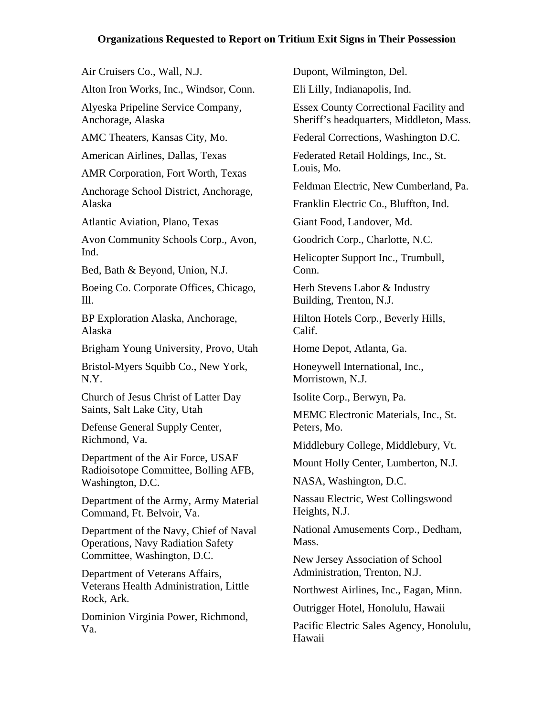## **Organizations Requested to Report on Tritium Exit Signs in Their Possession**

Air Cruisers Co., Wall, N.J. Alton Iron Works, Inc., Windsor, Conn. Alyeska Pripeline Service Company, Anchorage, Alaska AMC Theaters, Kansas City, Mo. American Airlines, Dallas, Texas AMR Corporation, Fort Worth, Texas Anchorage School District, Anchorage, Alaska Atlantic Aviation, Plano, Texas Avon Community Schools Corp., Avon, Ind. Bed, Bath & Beyond, Union, N.J. Boeing Co. Corporate Offices, Chicago, Ill. BP Exploration Alaska, Anchorage, Alaska Brigham Young University, Provo, Utah Bristol-Myers Squibb Co., New York, N.Y. Church of Jesus Christ of Latter Day Saints, Salt Lake City, Utah Defense General Supply Center, Richmond, Va. Department of the Air Force, USAF Radioisotope Committee, Bolling AFB, Washington, D.C. Department of the Army, Army Material Command, Ft. Belvoir, Va. Department of the Navy, Chief of Naval Operations, Navy Radiation Safety Committee, Washington, D.C. Department of Veterans Affairs, Veterans Health Administration, Little Rock, Ark. Conn. Calif. Mass.

Dominion Virginia Power, Richmond, Va.

Dupont, Wilmington, Del. Eli Lilly, Indianapolis, Ind. Essex County Correctional Facility and Sheriff's headquarters, Middleton, Mass. Federal Corrections, Washington D.C. Federated Retail Holdings, Inc., St. Louis, Mo. Feldman Electric, New Cumberland, Pa. Franklin Electric Co., Bluffton, Ind. Giant Food, Landover, Md. Goodrich Corp., Charlotte, N.C. Helicopter Support Inc., Trumbull, Herb Stevens Labor & Industry Building, Trenton, N.J. Hilton Hotels Corp., Beverly Hills, Home Depot, Atlanta, Ga. Honeywell International, Inc., Morristown, N.J. Isolite Corp., Berwyn, Pa. MEMC Electronic Materials, Inc., St. Peters, Mo. Middlebury College, Middlebury, Vt. Mount Holly Center, Lumberton, N.J. NASA, Washington, D.C. Nassau Electric, West Collingswood Heights, N.J. National Amusements Corp., Dedham, New Jersey Association of School Administration, Trenton, N.J. Northwest Airlines, Inc., Eagan, Minn. Outrigger Hotel, Honolulu, Hawaii Pacific Electric Sales Agency, Honolulu,

Hawaii